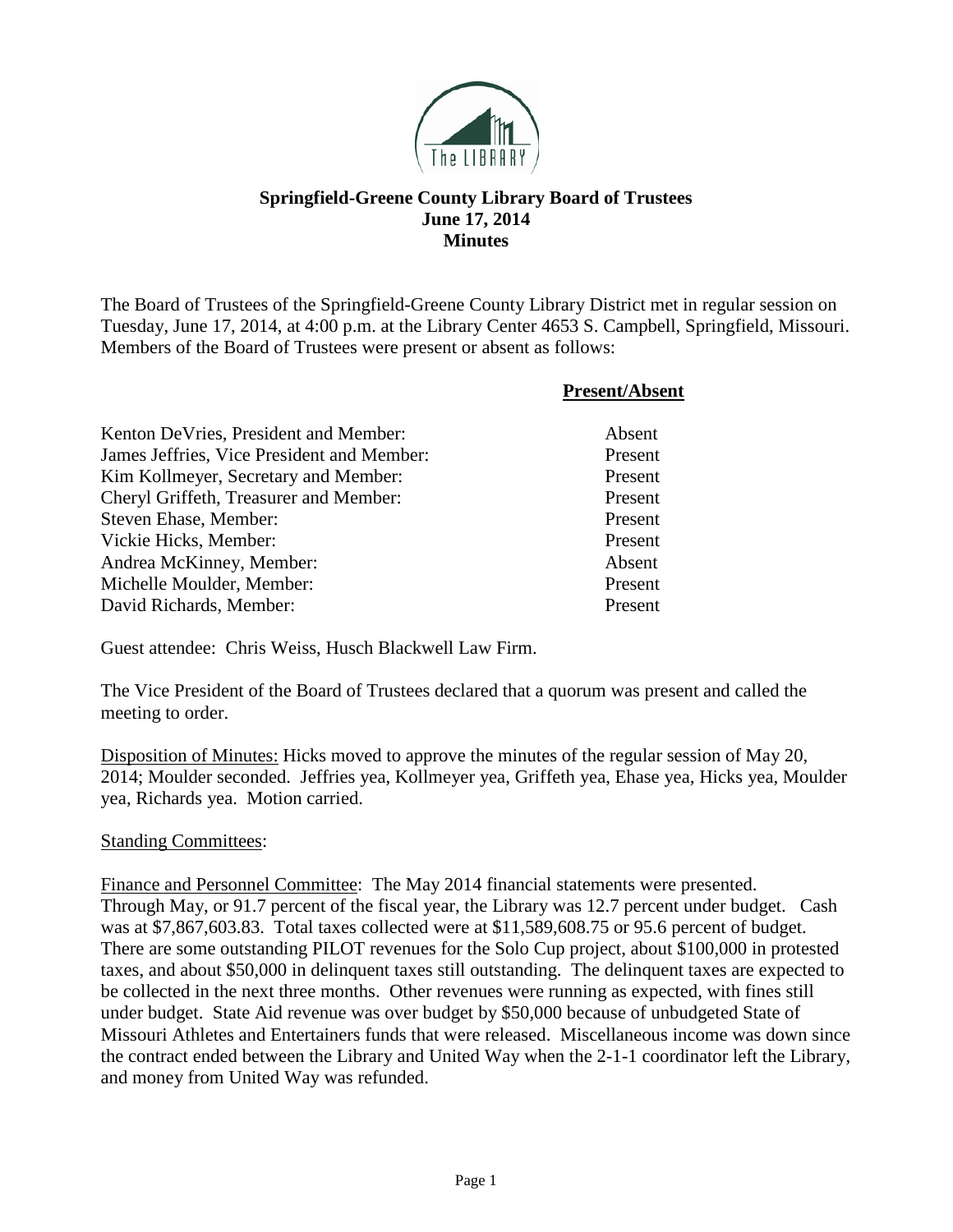

## **Springfield-Greene County Library Board of Trustees June 17, 2014 Minutes**

The Board of Trustees of the Springfield-Greene County Library District met in regular session on Tuesday, June 17, 2014, at 4:00 p.m. at the Library Center 4653 S. Campbell, Springfield, Missouri. Members of the Board of Trustees were present or absent as follows:

|                                            | <b>Present/Absent</b> |
|--------------------------------------------|-----------------------|
| Kenton De Vries, President and Member:     | Absent                |
| James Jeffries, Vice President and Member: | Present               |
| Kim Kollmeyer, Secretary and Member:       | Present               |
| Cheryl Griffeth, Treasurer and Member:     | Present               |
| Steven Ehase, Member:                      | Present               |
| Vickie Hicks, Member:                      | Present               |
| Andrea McKinney, Member:                   | Absent                |
| Michelle Moulder, Member:                  | Present               |
| David Richards, Member:                    | Present               |

Guest attendee: Chris Weiss, Husch Blackwell Law Firm.

The Vice President of the Board of Trustees declared that a quorum was present and called the meeting to order.

Disposition of Minutes: Hicks moved to approve the minutes of the regular session of May 20, 2014; Moulder seconded. Jeffries yea, Kollmeyer yea, Griffeth yea, Ehase yea, Hicks yea, Moulder yea, Richards yea. Motion carried.

## Standing Committees:

Finance and Personnel Committee: The May 2014 financial statements were presented. Through May, or 91.7 percent of the fiscal year, the Library was 12.7 percent under budget. Cash was at \$7,867,603.83. Total taxes collected were at \$11,589,608.75 or 95.6 percent of budget. There are some outstanding PILOT revenues for the Solo Cup project, about \$100,000 in protested taxes, and about \$50,000 in delinquent taxes still outstanding. The delinquent taxes are expected to be collected in the next three months. Other revenues were running as expected, with fines still under budget. State Aid revenue was over budget by \$50,000 because of unbudgeted State of Missouri Athletes and Entertainers funds that were released. Miscellaneous income was down since the contract ended between the Library and United Way when the 2-1-1 coordinator left the Library, and money from United Way was refunded.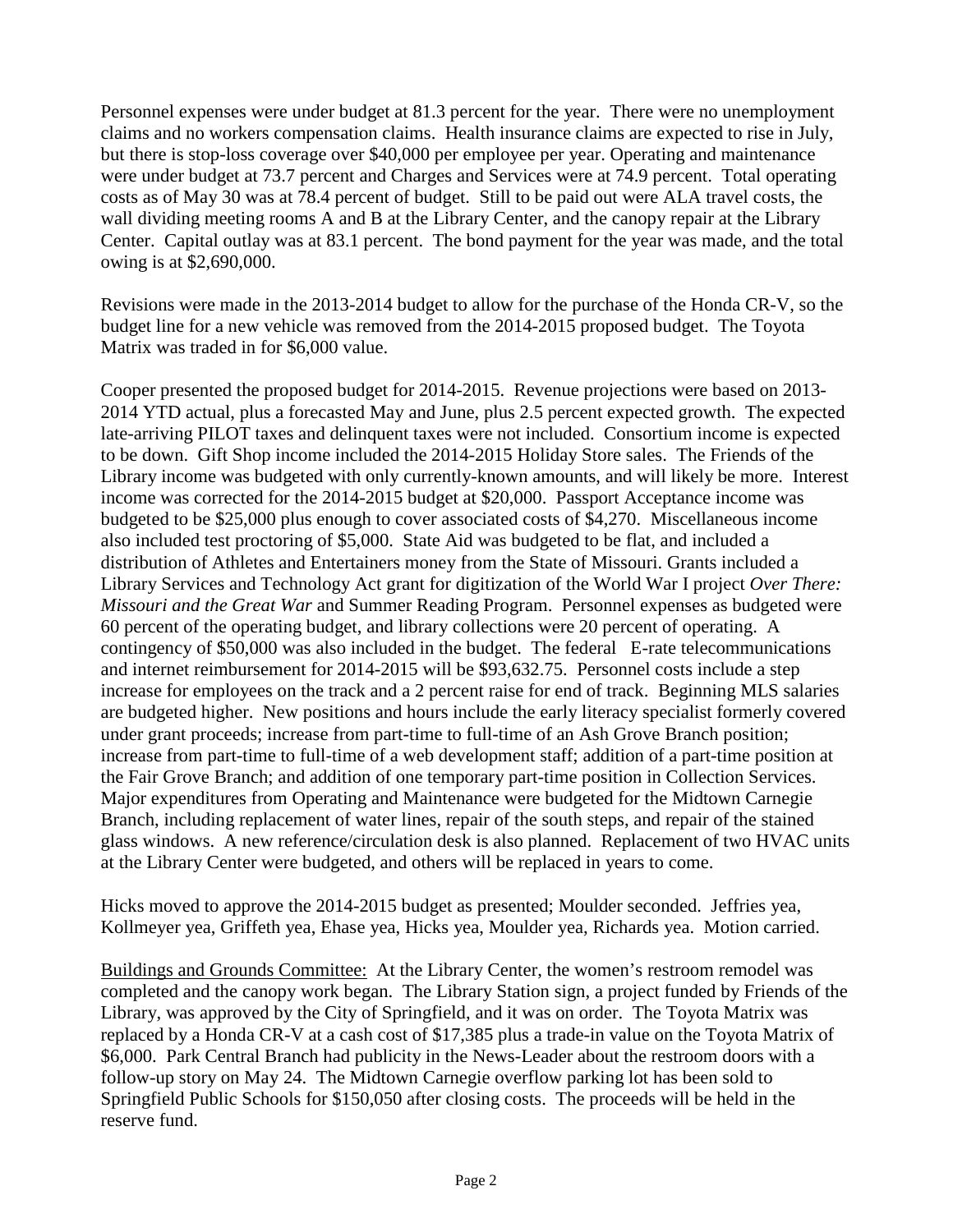Personnel expenses were under budget at 81.3 percent for the year. There were no unemployment claims and no workers compensation claims. Health insurance claims are expected to rise in July, but there is stop-loss coverage over \$40,000 per employee per year. Operating and maintenance were under budget at 73.7 percent and Charges and Services were at 74.9 percent. Total operating costs as of May 30 was at 78.4 percent of budget. Still to be paid out were ALA travel costs, the wall dividing meeting rooms A and B at the Library Center, and the canopy repair at the Library Center. Capital outlay was at 83.1 percent. The bond payment for the year was made, and the total owing is at \$2,690,000.

Revisions were made in the 2013-2014 budget to allow for the purchase of the Honda CR-V, so the budget line for a new vehicle was removed from the 2014-2015 proposed budget. The Toyota Matrix was traded in for \$6,000 value.

Cooper presented the proposed budget for 2014-2015. Revenue projections were based on 2013- 2014 YTD actual, plus a forecasted May and June, plus 2.5 percent expected growth. The expected late-arriving PILOT taxes and delinquent taxes were not included. Consortium income is expected to be down. Gift Shop income included the 2014-2015 Holiday Store sales. The Friends of the Library income was budgeted with only currently-known amounts, and will likely be more. Interest income was corrected for the 2014-2015 budget at \$20,000. Passport Acceptance income was budgeted to be \$25,000 plus enough to cover associated costs of \$4,270. Miscellaneous income also included test proctoring of \$5,000. State Aid was budgeted to be flat, and included a distribution of Athletes and Entertainers money from the State of Missouri. Grants included a Library Services and Technology Act grant for digitization of the World War I project *Over There: Missouri and the Great War* and Summer Reading Program. Personnel expenses as budgeted were 60 percent of the operating budget, and library collections were 20 percent of operating. A contingency of \$50,000 was also included in the budget. The federal E-rate telecommunications and internet reimbursement for 2014-2015 will be \$93,632.75. Personnel costs include a step increase for employees on the track and a 2 percent raise for end of track. Beginning MLS salaries are budgeted higher. New positions and hours include the early literacy specialist formerly covered under grant proceeds; increase from part-time to full-time of an Ash Grove Branch position; increase from part-time to full-time of a web development staff; addition of a part-time position at the Fair Grove Branch; and addition of one temporary part-time position in Collection Services. Major expenditures from Operating and Maintenance were budgeted for the Midtown Carnegie Branch, including replacement of water lines, repair of the south steps, and repair of the stained glass windows. A new reference/circulation desk is also planned. Replacement of two HVAC units at the Library Center were budgeted, and others will be replaced in years to come.

Hicks moved to approve the 2014-2015 budget as presented; Moulder seconded. Jeffries yea, Kollmeyer yea, Griffeth yea, Ehase yea, Hicks yea, Moulder yea, Richards yea. Motion carried.

Buildings and Grounds Committee: At the Library Center, the women's restroom remodel was completed and the canopy work began. The Library Station sign, a project funded by Friends of the Library, was approved by the City of Springfield, and it was on order. The Toyota Matrix was replaced by a Honda CR-V at a cash cost of \$17,385 plus a trade-in value on the Toyota Matrix of \$6,000. Park Central Branch had publicity in the News-Leader about the restroom doors with a follow-up story on May 24. The Midtown Carnegie overflow parking lot has been sold to Springfield Public Schools for \$150,050 after closing costs. The proceeds will be held in the reserve fund.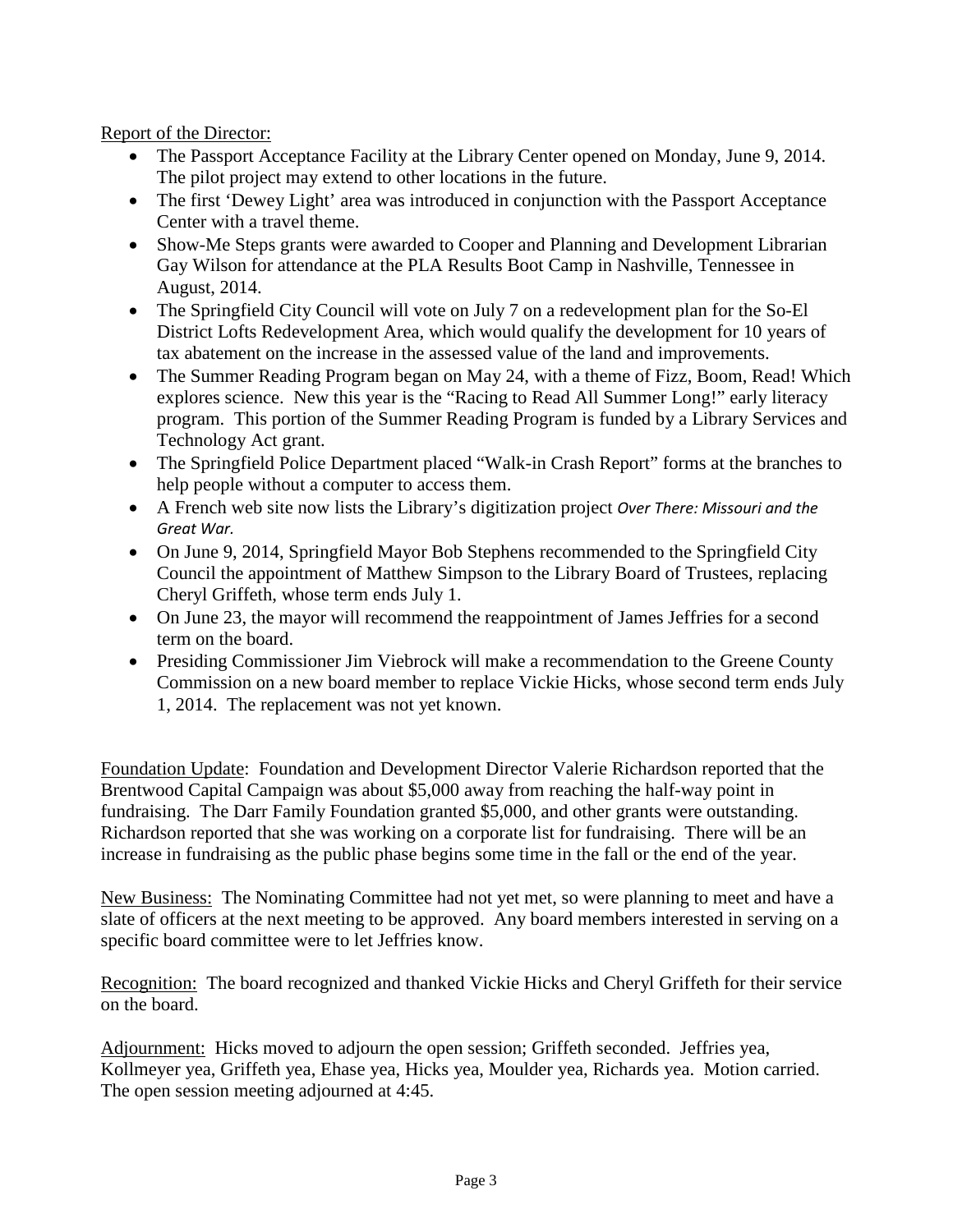Report of the Director:

- The Passport Acceptance Facility at the Library Center opened on Monday, June 9, 2014. The pilot project may extend to other locations in the future.
- The first 'Dewey Light' area was introduced in conjunction with the Passport Acceptance Center with a travel theme.
- Show-Me Steps grants were awarded to Cooper and Planning and Development Librarian Gay Wilson for attendance at the PLA Results Boot Camp in Nashville, Tennessee in August, 2014.
- The Springfield City Council will vote on July 7 on a redevelopment plan for the So-El District Lofts Redevelopment Area, which would qualify the development for 10 years of tax abatement on the increase in the assessed value of the land and improvements.
- The Summer Reading Program began on May 24, with a theme of Fizz, Boom, Read! Which explores science. New this year is the "Racing to Read All Summer Long!" early literacy program. This portion of the Summer Reading Program is funded by a Library Services and Technology Act grant.
- The Springfield Police Department placed "Walk-in Crash Report" forms at the branches to help people without a computer to access them.
- A French web site now lists the Library's digitization project *Over There: Missouri and the Great War.*
- On June 9, 2014, Springfield Mayor Bob Stephens recommended to the Springfield City Council the appointment of Matthew Simpson to the Library Board of Trustees, replacing Cheryl Griffeth, whose term ends July 1.
- On June 23, the mayor will recommend the reappointment of James Jeffries for a second term on the board.
- Presiding Commissioner Jim Viebrock will make a recommendation to the Greene County Commission on a new board member to replace Vickie Hicks, whose second term ends July 1, 2014. The replacement was not yet known.

Foundation Update: Foundation and Development Director Valerie Richardson reported that the Brentwood Capital Campaign was about \$5,000 away from reaching the half-way point in fundraising. The Darr Family Foundation granted \$5,000, and other grants were outstanding. Richardson reported that she was working on a corporate list for fundraising. There will be an increase in fundraising as the public phase begins some time in the fall or the end of the year.

New Business: The Nominating Committee had not yet met, so were planning to meet and have a slate of officers at the next meeting to be approved. Any board members interested in serving on a specific board committee were to let Jeffries know.

Recognition: The board recognized and thanked Vickie Hicks and Cheryl Griffeth for their service on the board.

Adjournment: Hicks moved to adjourn the open session; Griffeth seconded. Jeffries yea, Kollmeyer yea, Griffeth yea, Ehase yea, Hicks yea, Moulder yea, Richards yea. Motion carried. The open session meeting adjourned at 4:45.